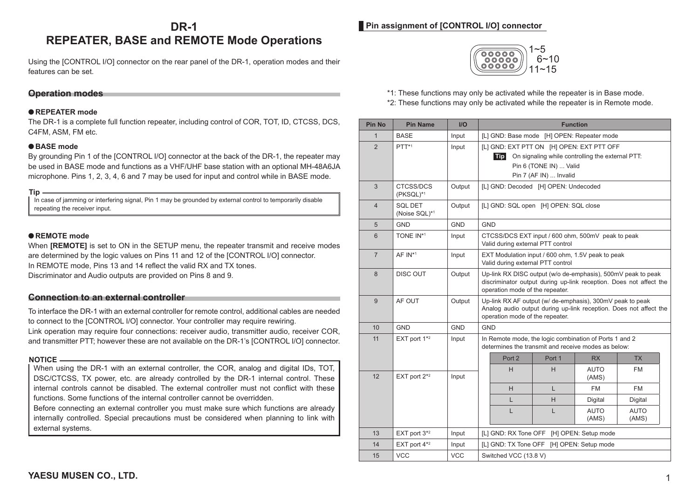# **DR-1 REPEATER, BASE and REMOTE Mode Operations**

Using the [CONTROL I/O] connector on the rear panel of the DR-1, operation modes and their features can be set.

# **Operation modes**

#### ●**REPEATER mode**

The DR-1 is a complete full function repeater, including control of COR, TOT, ID, CTCSS, DCS, C4FM, ASM, FM etc.

#### ●**BASE mode**

By grounding Pin 1 of the [CONTROL I/O] connector at the back of the DR-1, the repeater may be used in BASE mode and functions as a VHF/UHF base station with an optional MH-48A6JA microphone. Pins 1, 2, 3, 4, 6 and 7 may be used for input and control while in BASE mode.

**Tip** In case of jamming or interfering signal, Pin 1 may be grounded by external control to temporarily disable repeating the receiver input.

## ●**REMOTE mode**

When **IREMOTEI** is set to ON in the SETUP menu, the repeater transmit and receive modes are determined by the logic values on Pins 11 and 12 of the [CONTROL I/O] connector. In REMOTE mode, Pins 13 and 14 reflect the valid RX and TX tones. Discriminator and Audio outputs are provided on Pins 8 and 9.

## **Connection to an external controller**

To interface the DR-1 with an external controller for remote control, additional cables are needed to connect to the [CONTROL I/O] connector. Your controller may require rewiring. Link operation may require four connections: receiver audio, transmitter audio, receiver COR, and transmitter PTT; however these are not available on the DR-1's [CONTROL I/O] connector.

#### **NOTICE**

When using the DR-1 with an external controller, the COR, analog and digital IDs, TOT, DSC/CTCSS, TX power, etc. are already controlled by the DR-1 internal control. These internal controls cannot be disabled. The external controller must not conflict with these functions. Some functions of the internal controller cannot be overridden.

Before connecting an external controller you must make sure which functions are already internally controlled. Special precautions must be considered when planning to link with external systems.

# **Pin assignment of [CONTROL I/O] connector**



\*1: These functions may only be activated while the repeater is in Base mode.

\*2: These functions may only be activated while the repeater is in Remote mode.

| <b>Pin No</b>  | <b>Pin Name</b>                 | $II$       | <b>Function</b>                                                                                                                                                        |   |                      |                      |
|----------------|---------------------------------|------------|------------------------------------------------------------------------------------------------------------------------------------------------------------------------|---|----------------------|----------------------|
| $\mathbf{1}$   | <b>BASE</b>                     | Input      | [L] GND: Base mode [H] OPEN: Repeater mode                                                                                                                             |   |                      |                      |
| $\overline{2}$ | $PTT^{*1}$                      | Input      | [L] GND: EXT PTT ON [H] OPEN: EXT PTT OFF<br>On signaling while controlling the external PTT:<br><b>Tip</b><br>Pin 6 (TONE IN)  Valid<br>Pin 7 (AF IN)  Invalid        |   |                      |                      |
| 3              | CTCSS/DCS<br>(PKSQL)*1          | Output     | [L] GND: Decoded [H] OPEN: Undecoded                                                                                                                                   |   |                      |                      |
| $\overline{4}$ | <b>SQL DET</b><br>(Noise SQL)*1 | Output     | [L] GND: SQL open [H] OPEN: SQL close                                                                                                                                  |   |                      |                      |
| 5              | <b>GND</b>                      | <b>GND</b> | <b>GND</b>                                                                                                                                                             |   |                      |                      |
| 6              | TONE IN*1                       | Input      | CTCSS/DCS EXT input / 600 ohm, 500mV peak to peak<br>Valid during external PTT control                                                                                 |   |                      |                      |
| $\overline{7}$ | $AF IN*1$                       | Input      | EXT Modulation input / 600 ohm, 1.5V peak to peak<br>Valid during external PTT control                                                                                 |   |                      |                      |
| 8              | <b>DISC OUT</b>                 | Output     | Up-link RX DISC output (w/o de-emphasis), 500mV peak to peak<br>discriminator output during up-link reception. Does not affect the<br>operation mode of the repeater.  |   |                      |                      |
| 9              | AF OUT                          | Output     | Up-link RX AF output (w/ de-emphasis), 300mV peak to peak<br>Analog audio output during up-link reception. Does not affect the<br>operation mode of the repeater.      |   |                      |                      |
| 10             | <b>GND</b>                      | <b>GND</b> | <b>GND</b>                                                                                                                                                             |   |                      |                      |
| 11             | EXT port 1*2                    | Input      | In Remote mode, the logic combination of Ports 1 and 2<br>determines the transmit and receive modes as below:<br>Port <sub>2</sub><br>Port 1<br><b>RX</b><br><b>TX</b> |   |                      |                      |
|                |                                 |            | H                                                                                                                                                                      | H | <b>AUTO</b>          | FM                   |
| 12             | EXT port $2^{*2}$               | Input      |                                                                                                                                                                        |   | (AMS)                |                      |
|                |                                 |            | H                                                                                                                                                                      | L | <b>FM</b>            | FM                   |
|                |                                 |            | L                                                                                                                                                                      | H | Digital              | Digital              |
|                |                                 |            | L                                                                                                                                                                      | L | <b>AUTO</b><br>(AMS) | <b>AUTO</b><br>(AMS) |
| 13             | EXT port $3*2$                  | Input      | [L] GND: RX Tone OFF<br>[H] OPEN: Setup mode                                                                                                                           |   |                      |                      |
| 14             | EXT port $4*2$                  | Input      | [L] GND: TX Tone OFF<br>[H] OPEN: Setup mode                                                                                                                           |   |                      |                      |
| 15             | <b>VCC</b>                      | <b>VCC</b> | Switched VCC (13.8 V)                                                                                                                                                  |   |                      |                      |